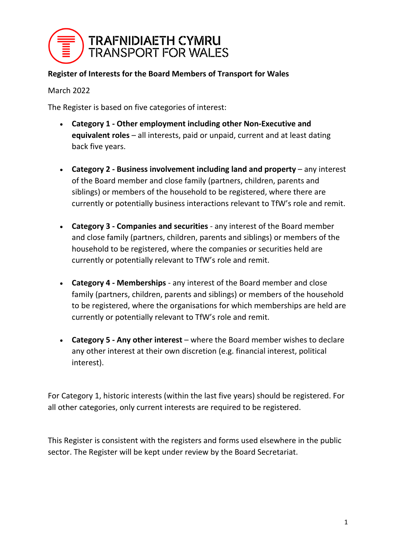

#### **Register of Interests for the Board Members of Transport for Wales**

March 2022

The Register is based on five categories of interest:

- **Category 1 - Other employment including other Non-Executive and equivalent roles** – all interests, paid or unpaid, current and at least dating back five years.
- **Category 2 - Business involvement including land and property** any interest of the Board member and close family (partners, children, parents and siblings) or members of the household to be registered, where there are currently or potentially business interactions relevant to TfW's role and remit.
- **Category 3 - Companies and securities** any interest of the Board member and close family (partners, children, parents and siblings) or members of the household to be registered, where the companies or securities held are currently or potentially relevant to TfW's role and remit.
- **Category 4 - Memberships** any interest of the Board member and close family (partners, children, parents and siblings) or members of the household to be registered, where the organisations for which memberships are held are currently or potentially relevant to TfW's role and remit.
- **Category 5 - Any other interest** where the Board member wishes to declare any other interest at their own discretion (e.g. financial interest, political interest).

For Category 1, historic interests (within the last five years) should be registered. For all other categories, only current interests are required to be registered.

This Register is consistent with the registers and forms used elsewhere in the public sector. The Register will be kept under review by the Board Secretariat.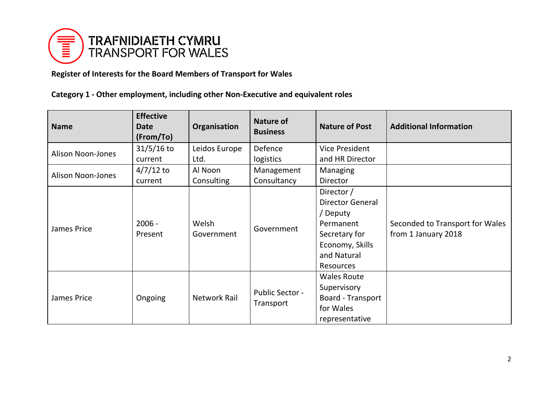

# **Register of Interests for the Board Members of Transport for Wales**

# **Category 1 - Other employment, including other Non-Executive and equivalent roles**

| <b>Name</b>              | <b>Effective</b><br><b>Date</b><br>(From/To) | Organisation        | <b>Nature of</b><br><b>Business</b> | <b>Nature of Post</b>                                                                                                        | <b>Additional Information</b>                          |
|--------------------------|----------------------------------------------|---------------------|-------------------------------------|------------------------------------------------------------------------------------------------------------------------------|--------------------------------------------------------|
| <b>Alison Noon-Jones</b> | $31/5/16$ to                                 | Leidos Europe       | Defence                             | <b>Vice President</b>                                                                                                        |                                                        |
|                          | current                                      | Ltd.                | logistics                           | and HR Director                                                                                                              |                                                        |
| <b>Alison Noon-Jones</b> | $4/7/12$ to                                  | Al Noon             | Management                          | Managing                                                                                                                     |                                                        |
|                          | current                                      | Consulting          | Consultancy                         | <b>Director</b>                                                                                                              |                                                        |
| James Price              | $2006 -$<br>Present                          | Welsh<br>Government | Government                          | Director /<br><b>Director General</b><br>Deputy<br>Permanent<br>Secretary for<br>Economy, Skills<br>and Natural<br>Resources | Seconded to Transport for Wales<br>from 1 January 2018 |
| James Price              | Ongoing                                      | <b>Network Rail</b> | <b>Public Sector -</b><br>Transport | <b>Wales Route</b><br>Supervisory<br>Board - Transport<br>for Wales<br>representative                                        |                                                        |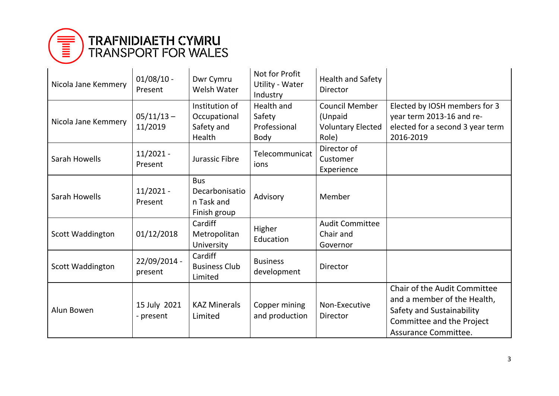

| Nicola Jane Kemmery | $01/08/10$ -<br>Present   | Dwr Cymru<br><b>Welsh Water</b>                            | Not for Profit<br>Utility - Water<br>Industry              | Health and Safety<br>Director                                         |                                                                                                                                               |
|---------------------|---------------------------|------------------------------------------------------------|------------------------------------------------------------|-----------------------------------------------------------------------|-----------------------------------------------------------------------------------------------------------------------------------------------|
| Nicola Jane Kemmery | $05/11/13 -$<br>11/2019   | Institution of<br>Occupational<br>Safety and<br>Health     | <b>Health and</b><br>Safety<br>Professional<br><b>Body</b> | <b>Council Member</b><br>(Unpaid<br><b>Voluntary Elected</b><br>Role) | Elected by IOSH members for 3<br>year term 2013-16 and re-<br>elected for a second 3 year term<br>2016-2019                                   |
| Sarah Howells       | $11/2021 -$<br>Present    | Jurassic Fibre                                             | Telecommunicat<br>ions                                     | Director of<br>Customer<br>Experience                                 |                                                                                                                                               |
| Sarah Howells       | $11/2021 -$<br>Present    | <b>Bus</b><br>Decarbonisatio<br>n Task and<br>Finish group | Advisory                                                   | Member                                                                |                                                                                                                                               |
| Scott Waddington    | 01/12/2018                | Cardiff<br>Metropolitan<br>University                      | Higher<br>Education                                        | <b>Audit Committee</b><br>Chair and<br>Governor                       |                                                                                                                                               |
| Scott Waddington    | 22/09/2014 -<br>present   | Cardiff<br><b>Business Club</b><br>Limited                 | <b>Business</b><br>development                             | Director                                                              |                                                                                                                                               |
| Alun Bowen          | 15 July 2021<br>- present | <b>KAZ Minerals</b><br>Limited                             | Copper mining<br>and production                            | Non-Executive<br><b>Director</b>                                      | Chair of the Audit Committee<br>and a member of the Health,<br>Safety and Sustainability<br>Committee and the Project<br>Assurance Committee. |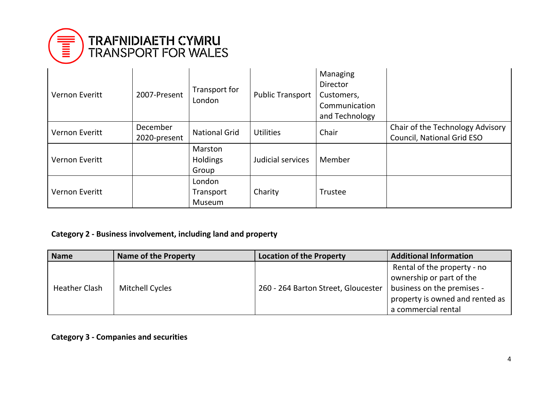

| <b>Vernon Everitt</b> | 2007-Present             | Transport for<br>London       | <b>Public Transport</b> | Managing<br><b>Director</b><br>Customers,<br>Communication<br>and Technology |                                                                       |
|-----------------------|--------------------------|-------------------------------|-------------------------|------------------------------------------------------------------------------|-----------------------------------------------------------------------|
| <b>Vernon Everitt</b> | December<br>2020-present | <b>National Grid</b>          | <b>Utilities</b>        | Chair                                                                        | Chair of the Technology Advisory<br><b>Council, National Grid ESO</b> |
| <b>Vernon Everitt</b> |                          | Marston<br>Holdings<br>Group  | Judicial services       | Member                                                                       |                                                                       |
| <b>Vernon Everitt</b> |                          | London<br>Transport<br>Museum | Charity                 | Trustee                                                                      |                                                                       |

### **Category 2 - Business involvement, including land and property**

| <b>Name</b>          | <b>Name of the Property</b> | <b>Location of the Property</b>     | <b>Additional Information</b>                                                                                                                   |
|----------------------|-----------------------------|-------------------------------------|-------------------------------------------------------------------------------------------------------------------------------------------------|
| <b>Heather Clash</b> | <b>Mitchell Cycles</b>      | 260 - 264 Barton Street, Gloucester | Rental of the property - no<br>ownership or part of the<br>business on the premises -<br>property is owned and rented as<br>a commercial rental |

**Category 3 - Companies and securities**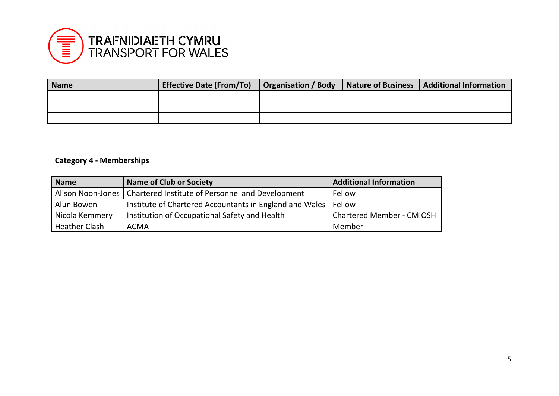

| <b>Name</b> | <b>Effective Date (From/To)</b> |  | Organisation / Body   Nature of Business   Additional Information |
|-------------|---------------------------------|--|-------------------------------------------------------------------|
|             |                                 |  |                                                                   |
|             |                                 |  |                                                                   |
|             |                                 |  |                                                                   |

### **Category 4 - Memberships**

| <b>Name</b>          | <b>Name of Club or Society</b>                                       | <b>Additional Information</b>    |
|----------------------|----------------------------------------------------------------------|----------------------------------|
|                      | Alison Noon-Jones   Chartered Institute of Personnel and Development | Fellow                           |
| Alun Bowen           | Institute of Chartered Accountants in England and Wales   Fellow     |                                  |
| Nicola Kemmery       | Institution of Occupational Safety and Health                        | <b>Chartered Member - CMIOSH</b> |
| <b>Heather Clash</b> | <b>ACMA</b>                                                          | Member                           |